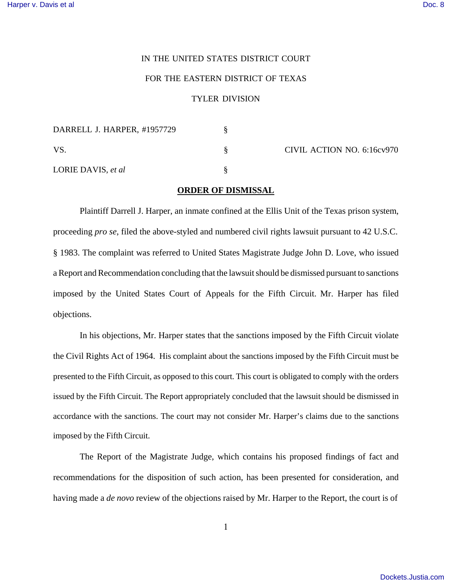## IN THE UNITED STATES DISTRICT COURT

## FOR THE EASTERN DISTRICT OF TEXAS

## TYLER DIVISION

| DARRELL J. HARPER, #1957729 |                            |
|-----------------------------|----------------------------|
| VS.                         | CIVIL ACTION NO. 6:16cv970 |
| LORIE DAVIS, et al.         |                            |

## **ORDER OF DISMISSAL**

Plaintiff Darrell J. Harper, an inmate confined at the Ellis Unit of the Texas prison system, proceeding *pro se*, filed the above-styled and numbered civil rights lawsuit pursuant to 42 U.S.C. § 1983. The complaint was referred to United States Magistrate Judge John D. Love, who issued a Report and Recommendation concluding that the lawsuit should be dismissed pursuant to sanctions imposed by the United States Court of Appeals for the Fifth Circuit. Mr. Harper has filed objections.

In his objections, Mr. Harper states that the sanctions imposed by the Fifth Circuit violate the Civil Rights Act of 1964. His complaint about the sanctions imposed by the Fifth Circuit must be presented to the Fifth Circuit, as opposed to this court. This court is obligated to comply with the orders issued by the Fifth Circuit. The Report appropriately concluded that the lawsuit should be dismissed in accordance with the sanctions. The court may not consider Mr. Harper's claims due to the sanctions imposed by the Fifth Circuit.

The Report of the Magistrate Judge, which contains his proposed findings of fact and recommendations for the disposition of such action, has been presented for consideration, and having made a *de novo* review of the objections raised by Mr. Harper to the Report, the court is of